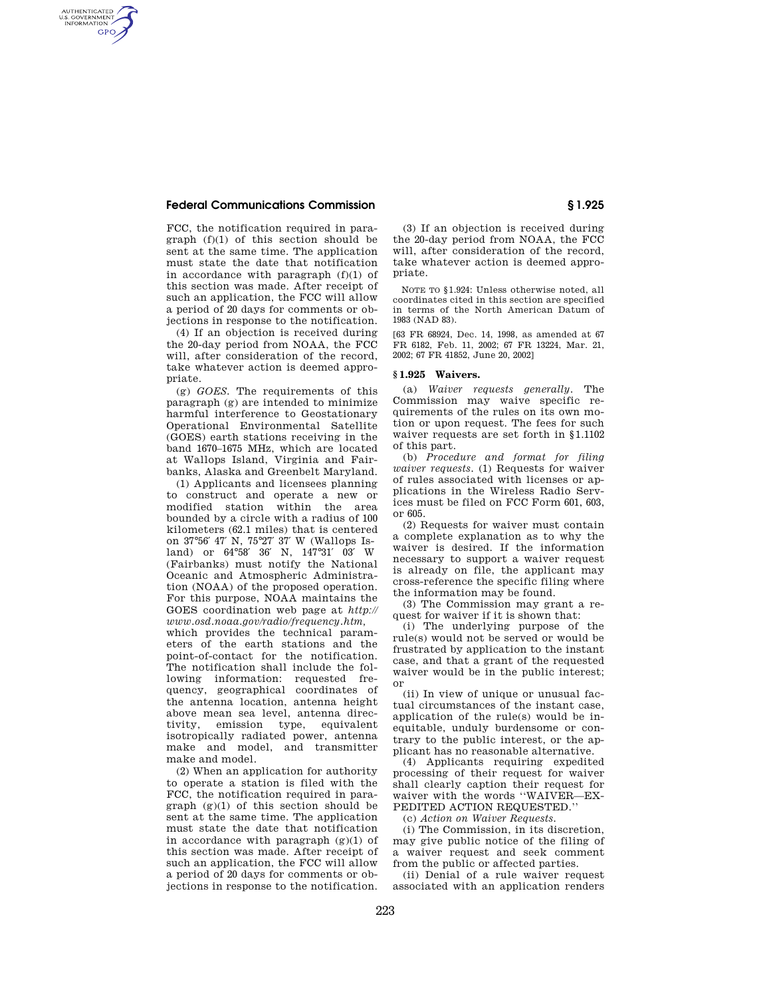#### **Federal Communications Commission § 1.925**

AUTHENTICATED<br>U.S. GOVERNMENT<br>INFORMATION **GPO** 

> FCC, the notification required in paragraph (f)(1) of this section should be sent at the same time. The application must state the date that notification in accordance with paragraph (f)(1) of this section was made. After receipt of such an application, the FCC will allow a period of 20 days for comments or objections in response to the notification.

> (4) If an objection is received during the 20-day period from NOAA, the FCC will, after consideration of the record, take whatever action is deemed appropriate.

> (g) *GOES.* The requirements of this paragraph (g) are intended to minimize harmful interference to Geostationary Operational Environmental Satellite (GOES) earth stations receiving in the band 1670–1675 MHz, which are located at Wallops Island, Virginia and Fairbanks, Alaska and Greenbelt Maryland.

> (1) Applicants and licensees planning to construct and operate a new or modified station within the area bounded by a circle with a radius of 100 kilometers (62.1 miles) that is centered on 37°56′ 47′ N, 75°27′ 37′ W (Wallops Island) or 64°58′ 36′ N, 147°31′ 03′ W (Fairbanks) must notify the National Oceanic and Atmospheric Administration (NOAA) of the proposed operation. For this purpose, NOAA maintains the GOES coordination web page at *http:// www.osd.noaa.gov/radio/frequency.htm,*

> which provides the technical parameters of the earth stations and the point-of-contact for the notification. The notification shall include the following information: requested frequency, geographical coordinates of the antenna location, antenna height above mean sea level, antenna directivity, emission type, equivalent isotropically radiated power, antenna make and model, and transmitter make and model.

> (2) When an application for authority to operate a station is filed with the FCC, the notification required in paragraph  $(g)(1)$  of this section should be sent at the same time. The application must state the date that notification in accordance with paragraph  $(g)(1)$  of this section was made. After receipt of such an application, the FCC will allow a period of 20 days for comments or objections in response to the notification.

(3) If an objection is received during the 20-day period from NOAA, the FCC will, after consideration of the record, take whatever action is deemed appropriate.

NOTE TO § 1.924: Unless otherwise noted, all coordinates cited in this section are specified in terms of the North American Datum of 1983 (NAD 83).

[63 FR 68924, Dec. 14, 1998, as amended at 67 FR 6182, Feb. 11, 2002; 67 FR 13224, Mar. 21, 2002; 67 FR 41852, June 20, 2002]

#### **§ 1.925 Waivers.**

(a) *Waiver requests generally.* The Commission may waive specific requirements of the rules on its own motion or upon request. The fees for such waiver requests are set forth in § 1.1102 of this part.

(b) *Procedure and format for filing waiver requests.* (1) Requests for waiver of rules associated with licenses or applications in the Wireless Radio Services must be filed on FCC Form 601, 603, or 605.

(2) Requests for waiver must contain a complete explanation as to why the waiver is desired. If the information necessary to support a waiver request is already on file, the applicant may cross-reference the specific filing where the information may be found.

(3) The Commission may grant a request for waiver if it is shown that:

(i) The underlying purpose of the rule(s) would not be served or would be frustrated by application to the instant case, and that a grant of the requested waiver would be in the public interest; or

(ii) In view of unique or unusual factual circumstances of the instant case, application of the rule(s) would be inequitable, unduly burdensome or contrary to the public interest, or the applicant has no reasonable alternative.

(4) Applicants requiring expedited processing of their request for waiver shall clearly caption their request for waiver with the words ''WAIVER—EX-PEDITED ACTION REQUESTED.''

(c) *Action on Waiver Requests.*

(i) The Commission, in its discretion, may give public notice of the filing of a waiver request and seek comment from the public or affected parties.

(ii) Denial of a rule waiver request associated with an application renders